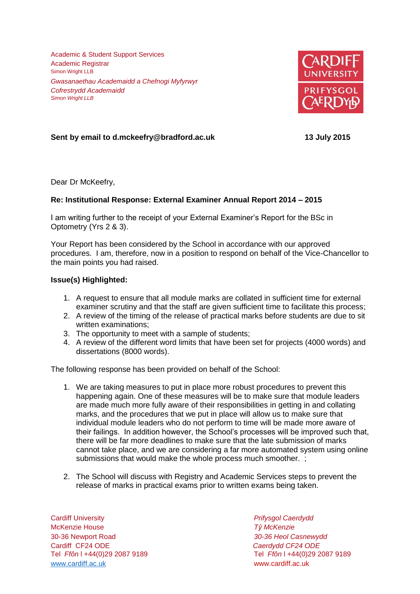Academic & Student Support Services Academic Registrar Simon Wright LLB *Gwasanaethau Academaidd a Chefnogi Myfyrwyr Cofrestrydd Academaidd Simon Wright LLB*



## **Sent by email to d.mckeefry@bradford.ac.uk 13 July 2015**

Dear Dr McKeefry,

## **Re: Institutional Response: External Examiner Annual Report 2014 – 2015**

I am writing further to the receipt of your External Examiner's Report for the BSc in Optometry (Yrs 2 & 3).

Your Report has been considered by the School in accordance with our approved procedures. I am, therefore, now in a position to respond on behalf of the Vice-Chancellor to the main points you had raised.

## **Issue(s) Highlighted:**

- 1. A request to ensure that all module marks are collated in sufficient time for external examiner scrutiny and that the staff are given sufficient time to facilitate this process;
- 2. A review of the timing of the release of practical marks before students are due to sit written examinations;
- 3. The opportunity to meet with a sample of students;
- 4. A review of the different word limits that have been set for projects (4000 words) and dissertations (8000 words).

The following response has been provided on behalf of the School:

- 1. We are taking measures to put in place more robust procedures to prevent this happening again. One of these measures will be to make sure that module leaders are made much more fully aware of their responsibilities in getting in and collating marks, and the procedures that we put in place will allow us to make sure that individual module leaders who do not perform to time will be made more aware of their failings. In addition however, the School's processes will be improved such that, there will be far more deadlines to make sure that the late submission of marks cannot take place, and we are considering a far more automated system using online submissions that would make the whole process much smoother. ;
- 2. The School will discuss with Registry and Academic Services steps to prevent the release of marks in practical exams prior to written exams being taken.

Cardiff University *Prifysgol Caerdydd* McKenzie House *Tŷ McKenzie* 30-36 Newport Road *30-36 Heol Casnewydd* Cardiff CF24 ODE *Caerdydd CF24 ODE* [www.cardiff.ac.uk](http://www.cardiff.ac.uk/) www.cardiff.ac.uk

Tel *Ffôn* l +44(0)29 2087 9189 Tel *Ffôn* l +44(0)29 2087 9189